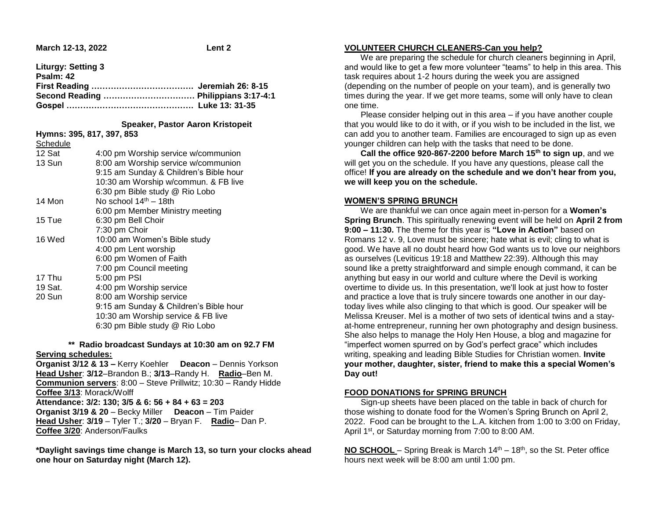**Liturgy: Setting 3** 

| Psalm: 42 |  |
|-----------|--|
|           |  |
|           |  |
|           |  |

#### **Speaker, Pastor Aaron Kristopeit**

|          | Hymns: 395, 817, 397, 853              |
|----------|----------------------------------------|
| Schedule |                                        |
| 12 Sat   | 4:00 pm Worship service w/communion    |
| 13 Sun   | 8:00 am Worship service w/communion    |
|          | 9:15 am Sunday & Children's Bible hour |
|          | 10:30 am Worship w/commun. & FB live   |
|          | 6:30 pm Bible study @ Rio Lobo         |
| 14 Mon   | No school 14 <sup>th</sup> - 18th      |
|          | 6:00 pm Member Ministry meeting        |
| 15 Tue   | 6:30 pm Bell Choir                     |
|          | 7:30 pm Choir                          |
| 16 Wed   | 10:00 am Women's Bible study           |
|          | 4:00 pm Lent worship                   |
|          | 6:00 pm Women of Faith                 |
|          | 7:00 pm Council meeting                |
| 17 Thu   | 5:00 pm PSI                            |
| 19 Sat.  | 4:00 pm Worship service                |
| 20 Sun   | 8:00 am Worship service                |
|          | 9:15 am Sunday & Children's Bible hour |
|          | 10:30 am Worship service & FB live     |
|          | 6:30 pm Bible study @ Rio Lobo         |
|          |                                        |

# **\*\* Radio broadcast Sundays at 10:30 am on 92.7 FM Serving schedules:**

**Organist 3/12 & 13 –** Kerry Koehler **Deacon** – Dennis Yorkson **Head Usher**: **3/12**–Brandon B.; **3/13**–Randy H. **Radio**–Ben M. **Communion servers**: 8:00 – Steve Prillwitz; 10:30 – Randy Hidde **Coffee 3/13**: Morack/Wolff **Attendance: 3/2: 130; 3/5 & 6: 56 + 84 + 63 = 203 Organist 3/19 & 20** – Becky Miller **Deacon** – Tim Paider **Head Usher**: **3/19** – Tyler T.; **3/20** – Bryan F. **Radio**– Dan P. **Coffee 3/20**: Anderson/Faulks

**\*Daylight savings time change is March 13, so turn your clocks ahead one hour on Saturday night (March 12).**

#### **VOLUNTEER CHURCH CLEANERS-Can you help?**

 We are preparing the schedule for church cleaners beginning in April, and would like to get a few more volunteer "teams" to help in this area. This task requires about 1-2 hours during the week you are assigned (depending on the number of people on your team), and is generally two times during the year. If we get more teams, some will only have to clean one time.

 Please consider helping out in this area – if you have another couple that you would like to do it with, or if you wish to be included in the list, we can add you to another team. Families are encouraged to sign up as even younger children can help with the tasks that need to be done.

 **Call the office 920-867-2200 before March 15th to sign up**, and we will get you on the schedule. If you have any questions, please call the office! **If you are already on the schedule and we don't hear from you, we will keep you on the schedule.**

#### **WOMEN'S SPRING BRUNCH**

 We are thankful we can once again meet in-person for a **Women's Spring Brunch**. This spiritually renewing event will be held on **April 2 from 9:00 – 11:30.** The theme for this year is **"Love in Action"** based on Romans 12 v. 9, Love must be sincere; hate what is evil; cling to what is good. We have all no doubt heard how God wants us to love our neighbors as ourselves (Leviticus 19:18 and Matthew 22:39). Although this may sound like a pretty straightforward and simple enough command, it can be anything but easy in our world and culture where the Devil is working overtime to divide us. In this presentation, we'll look at just how to foster and practice a love that is truly sincere towards one another in our daytoday lives while also clinging to that which is good. Our speaker will be Melissa Kreuser. Mel is a mother of two sets of identical twins and a stayat-home entrepreneur, running her own photography and design business. She also helps to manage the Holy Hen House, a blog and magazine for "imperfect women spurred on by God's perfect grace" which includes writing, speaking and leading Bible Studies for Christian women. **Invite your mother, daughter, sister, friend to make this a special Women's Day out!** 

## **FOOD DONATIONS for SPRING BRUNCH**

 Sign-up sheets have been placed on the table in back of church for those wishing to donate food for the Women's Spring Brunch on April 2, 2022. Food can be brought to the L.A. kitchen from 1:00 to 3:00 on Friday, April 1<sup>st</sup>, or Saturday morning from 7:00 to 8:00 AM.

**NO SCHOOL** – Spring Break is March 14<sup>th</sup> – 18<sup>th</sup>, so the St. Peter office hours next week will be 8:00 am until 1:00 pm.